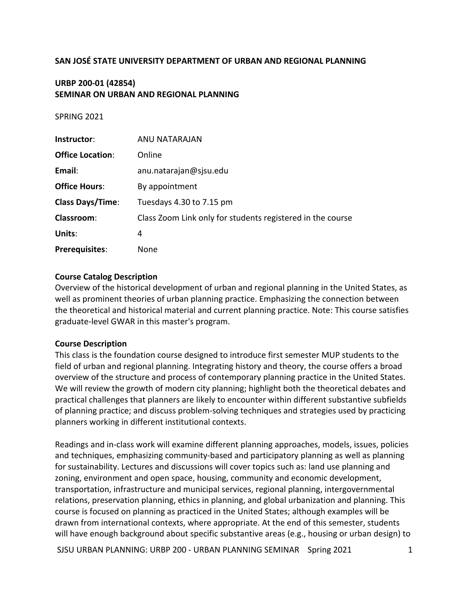### **SAN JOSÉ STATE UNIVERSITY DEPARTMENT OF URBAN AND REGIONAL PLANNING**

# **URBP 200-01 (42854) SEMINAR ON URBAN AND REGIONAL PLANNING**

#### **SPRING 2021**

| Instructor:             | ANU NATARAJAN                                              |
|-------------------------|------------------------------------------------------------|
| <b>Office Location:</b> | Online                                                     |
| Email:                  | anu.natarajan@sjsu.edu                                     |
| <b>Office Hours:</b>    | By appointment                                             |
| <b>Class Days/Time:</b> | Tuesdays 4.30 to 7.15 pm                                   |
| <b>Classroom:</b>       | Class Zoom Link only for students registered in the course |
| Units:                  | 4                                                          |
| <b>Prerequisites:</b>   | None                                                       |

#### **Course Catalog Description**

Overview of the historical development of urban and regional planning in the United States, as well as prominent theories of urban planning practice. Emphasizing the connection between the theoretical and historical material and current planning practice. Note: This course satisfies graduate-level GWAR in this master's program.

#### **Course Description**

This class is the foundation course designed to introduce first semester MUP students to the field of urban and regional planning. Integrating history and theory, the course offers a broad overview of the structure and process of contemporary planning practice in the United States. We will review the growth of modern city planning; highlight both the theoretical debates and practical challenges that planners are likely to encounter within different substantive subfields of planning practice; and discuss problem-solving techniques and strategies used by practicing planners working in different institutional contexts.

Readings and in-class work will examine different planning approaches, models, issues, policies and techniques, emphasizing community-based and participatory planning as well as planning for sustainability. Lectures and discussions will cover topics such as: land use planning and zoning, environment and open space, housing, community and economic development, transportation, infrastructure and municipal services, regional planning, intergovernmental relations, preservation planning, ethics in planning, and global urbanization and planning. This course is focused on planning as practiced in the United States; although examples will be drawn from international contexts, where appropriate. At the end of this semester, students will have enough background about specific substantive areas (e.g., housing or urban design) to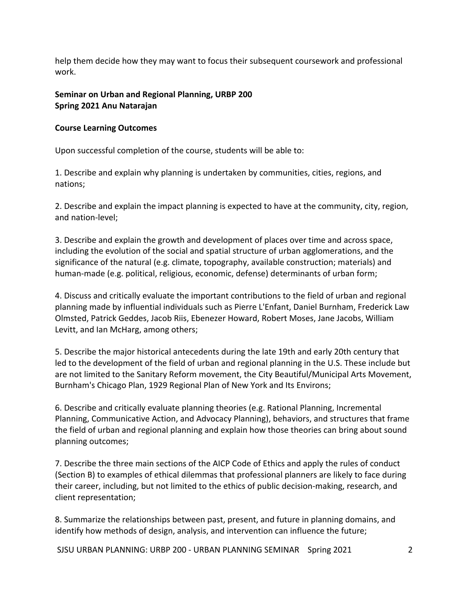help them decide how they may want to focus their subsequent coursework and professional work.

# **Seminar on Urban and Regional Planning, URBP 200 Spring 2021 Anu Natarajan**

# **Course Learning Outcomes**

Upon successful completion of the course, students will be able to:

1. Describe and explain why planning is undertaken by communities, cities, regions, and nations;

2. Describe and explain the impact planning is expected to have at the community, city, region, and nation-level;

3. Describe and explain the growth and development of places over time and across space, including the evolution of the social and spatial structure of urban agglomerations, and the significance of the natural (e.g. climate, topography, available construction; materials) and human-made (e.g. political, religious, economic, defense) determinants of urban form;

4. Discuss and critically evaluate the important contributions to the field of urban and regional planning made by influential individuals such as Pierre L'Enfant, Daniel Burnham, Frederick Law Olmsted, Patrick Geddes, Jacob Riis, Ebenezer Howard, Robert Moses, Jane Jacobs, William Levitt, and Ian McHarg, among others;

5. Describe the major historical antecedents during the late 19th and early 20th century that led to the development of the field of urban and regional planning in the U.S. These include but are not limited to the Sanitary Reform movement, the City Beautiful/Municipal Arts Movement, Burnham's Chicago Plan, 1929 Regional Plan of New York and Its Environs;

6. Describe and critically evaluate planning theories (e.g. Rational Planning, Incremental Planning, Communicative Action, and Advocacy Planning), behaviors, and structures that frame the field of urban and regional planning and explain how those theories can bring about sound planning outcomes;

7. Describe the three main sections of the AICP Code of Ethics and apply the rules of conduct (Section B) to examples of ethical dilemmas that professional planners are likely to face during their career, including, but not limited to the ethics of public decision-making, research, and client representation;

8. Summarize the relationships between past, present, and future in planning domains, and identify how methods of design, analysis, and intervention can influence the future;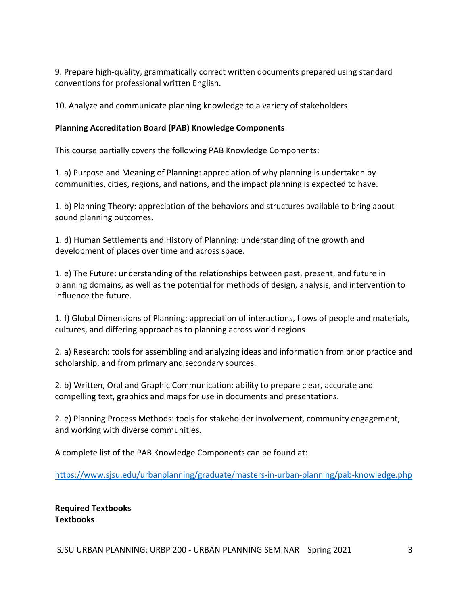9. Prepare high-quality, grammatically correct written documents prepared using standard conventions for professional written English.

10. Analyze and communicate planning knowledge to a variety of stakeholders

### **Planning Accreditation Board (PAB) Knowledge Components**

This course partially covers the following PAB Knowledge Components:

1. a) Purpose and Meaning of Planning: appreciation of why planning is undertaken by communities, cities, regions, and nations, and the impact planning is expected to have.

1. b) Planning Theory: appreciation of the behaviors and structures available to bring about sound planning outcomes.

1. d) Human Settlements and History of Planning: understanding of the growth and development of places over time and across space.

1. e) The Future: understanding of the relationships between past, present, and future in planning domains, as well as the potential for methods of design, analysis, and intervention to influence the future.

1. f) Global Dimensions of Planning: appreciation of interactions, flows of people and materials, cultures, and differing approaches to planning across world regions

2. a) Research: tools for assembling and analyzing ideas and information from prior practice and scholarship, and from primary and secondary sources.

2. b) Written, Oral and Graphic Communication: ability to prepare clear, accurate and compelling text, graphics and maps for use in documents and presentations.

2. e) Planning Process Methods: tools for stakeholder involvement, community engagement, and working with diverse communities.

A complete list of the PAB Knowledge Components can be found at:

https://www.sjsu.edu/urbanplanning/graduate/masters-in-urban-planning/pab-knowledge.php

**Required Textbooks Textbooks**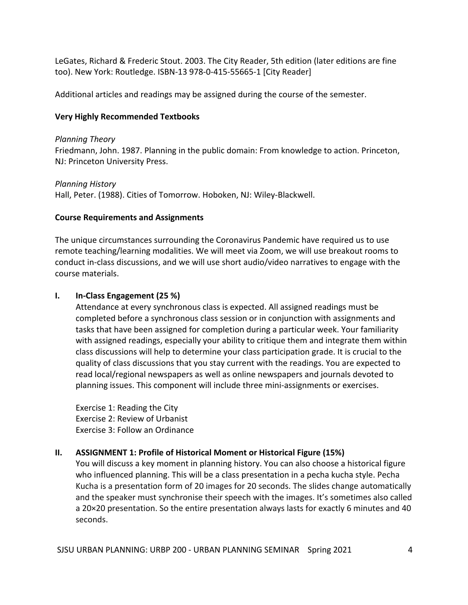LeGates, Richard & Frederic Stout. 2003. The City Reader, 5th edition (later editions are fine too). New York: Routledge. ISBN-13 978-0-415-55665-1 [City Reader]

Additional articles and readings may be assigned during the course of the semester.

# **Very Highly Recommended Textbooks**

# *Planning Theory*

Friedmann, John. 1987. Planning in the public domain: From knowledge to action. Princeton, NJ: Princeton University Press.

# *Planning History*

Hall, Peter. (1988). Cities of Tomorrow. Hoboken, NJ: Wiley-Blackwell.

# **Course Requirements and Assignments**

The unique circumstances surrounding the Coronavirus Pandemic have required us to use remote teaching/learning modalities. We will meet via Zoom, we will use breakout rooms to conduct in-class discussions, and we will use short audio/video narratives to engage with the course materials.

# **I. In-Class Engagement (25 %)**

Attendance at every synchronous class is expected. All assigned readings must be completed before a synchronous class session or in conjunction with assignments and tasks that have been assigned for completion during a particular week. Your familiarity with assigned readings, especially your ability to critique them and integrate them within class discussions will help to determine your class participation grade. It is crucial to the quality of class discussions that you stay current with the readings. You are expected to read local/regional newspapers as well as online newspapers and journals devoted to planning issues. This component will include three mini-assignments or exercises.

Exercise 1: Reading the City Exercise 2: Review of Urbanist Exercise 3: Follow an Ordinance

# **II.** ASSIGNMENT 1: Profile of Historical Moment or Historical Figure (15%)

You will discuss a key moment in planning history. You can also choose a historical figure who influenced planning. This will be a class presentation in a pecha kucha style. Pecha Kucha is a presentation form of 20 images for 20 seconds. The slides change automatically and the speaker must synchronise their speech with the images. It's sometimes also called a 20×20 presentation. So the entire presentation always lasts for exactly 6 minutes and 40 seconds.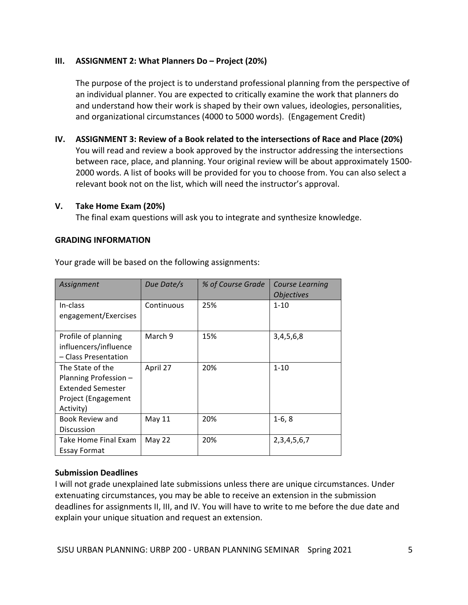# **III. ASSIGNMENT 2: What Planners Do – Project (20%)**

The purpose of the project is to understand professional planning from the perspective of an individual planner. You are expected to critically examine the work that planners do and understand how their work is shaped by their own values, ideologies, personalities, and organizational circumstances (4000 to 5000 words). (Engagement Credit)

**IV.** ASSIGNMENT 3: Review of a Book related to the intersections of Race and Place (20%) You will read and review a book approved by the instructor addressing the intersections between race, place, and planning. Your original review will be about approximately 1500-2000 words. A list of books will be provided for you to choose from. You can also select a relevant book not on the list, which will need the instructor's approval.

# **V. Take Home Exam (20%)**

The final exam questions will ask you to integrate and synthesize knowledge.

# **GRADING INFORMATION**

| Assignment                                                                                                | Due Date/s | % of Course Grade | <b>Course Learning</b><br><i><b>Objectives</b></i> |
|-----------------------------------------------------------------------------------------------------------|------------|-------------------|----------------------------------------------------|
| In-class<br>engagement/Exercises                                                                          | Continuous | 25%               | $1 - 10$                                           |
| Profile of planning<br>influencers/influence<br>- Class Presentation                                      | March 9    | 15%               | 3,4,5,6,8                                          |
| The State of the<br>Planning Profession -<br><b>Extended Semester</b><br>Project (Engagement<br>Activity) | April 27   | 20%               | $1 - 10$                                           |
| Book Review and<br>Discussion                                                                             | May 11     | 20%               | $1-6, 8$                                           |
| Take Home Final Exam<br><b>Essay Format</b>                                                               | May 22     | 20%               | 2, 3, 4, 5, 6, 7                                   |

Your grade will be based on the following assignments:

# **Submission Deadlines**

I will not grade unexplained late submissions unless there are unique circumstances. Under extenuating circumstances, you may be able to receive an extension in the submission deadlines for assignments II, III, and IV. You will have to write to me before the due date and explain your unique situation and request an extension.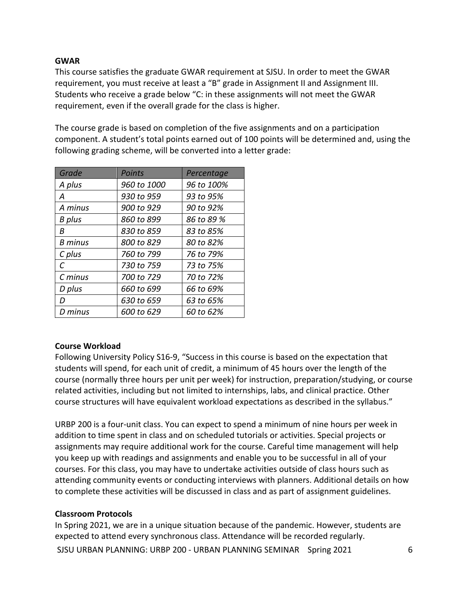# **GWAR**

This course satisfies the graduate GWAR requirement at SJSU. In order to meet the GWAR requirement, you must receive at least a "B" grade in Assignment II and Assignment III. Students who receive a grade below "C: in these assignments will not meet the GWAR requirement, even if the overall grade for the class is higher.

The course grade is based on completion of the five assignments and on a participation component. A student's total points earned out of 100 points will be determined and, using the following grading scheme, will be converted into a letter grade:

| Grade          | Points      | Percentage |
|----------------|-------------|------------|
| A plus         | 960 to 1000 | 96 to 100% |
| А              | 930 to 959  | 93 to 95%  |
| A minus        | 900 to 929  | 90 to 92%  |
| <b>B</b> plus  | 860 to 899  | 86 to 89 % |
| R              | 830 to 859  | 83 to 85%  |
| <b>B</b> minus | 800 to 829  | 80 to 82%  |
| C plus         | 760 to 799  | 76 to 79%  |
| C              | 730 to 759  | 73 to 75%  |
| C minus        | 700 to 729  | 70 to 72%  |
| D plus         | 660 to 699  | 66 to 69%  |
| D              | 630 to 659  | 63 to 65%  |
| D minus        | 600 to 629  | 60 to 62%  |

# **Course Workload**

Following University Policy S16-9, "Success in this course is based on the expectation that students will spend, for each unit of credit, a minimum of 45 hours over the length of the course (normally three hours per unit per week) for instruction, preparation/studying, or course related activities, including but not limited to internships, labs, and clinical practice. Other course structures will have equivalent workload expectations as described in the syllabus."

URBP 200 is a four-unit class. You can expect to spend a minimum of nine hours per week in addition to time spent in class and on scheduled tutorials or activities. Special projects or assignments may require additional work for the course. Careful time management will help you keep up with readings and assignments and enable you to be successful in all of your courses. For this class, you may have to undertake activities outside of class hours such as attending community events or conducting interviews with planners. Additional details on how to complete these activities will be discussed in class and as part of assignment guidelines.

# **Classroom Protocols**

SJSU URBAN PLANNING: URBP 200 - URBAN PLANNING SEMINAR Spring 2021 6 In Spring 2021, we are in a unique situation because of the pandemic. However, students are expected to attend every synchronous class. Attendance will be recorded regularly.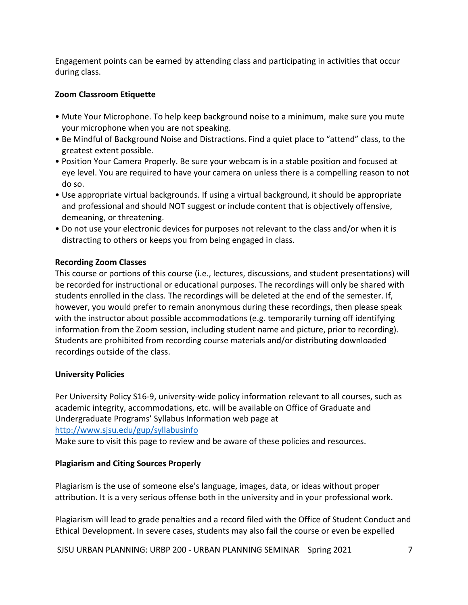Engagement points can be earned by attending class and participating in activities that occur during class.

# **Zoom Classroom Etiquette**

- Mute Your Microphone. To help keep background noise to a minimum, make sure you mute your microphone when you are not speaking.
- Be Mindful of Background Noise and Distractions. Find a quiet place to "attend" class, to the greatest extent possible.
- Position Your Camera Properly. Be sure your webcam is in a stable position and focused at eye level. You are required to have your camera on unless there is a compelling reason to not do so.
- Use appropriate virtual backgrounds. If using a virtual background, it should be appropriate and professional and should NOT suggest or include content that is objectively offensive, demeaning, or threatening.
- Do not use your electronic devices for purposes not relevant to the class and/or when it is distracting to others or keeps you from being engaged in class.

# **Recording Zoom Classes**

This course or portions of this course (i.e., lectures, discussions, and student presentations) will be recorded for instructional or educational purposes. The recordings will only be shared with students enrolled in the class. The recordings will be deleted at the end of the semester. If, however, you would prefer to remain anonymous during these recordings, then please speak with the instructor about possible accommodations (e.g. temporarily turning off identifying information from the Zoom session, including student name and picture, prior to recording). Students are prohibited from recording course materials and/or distributing downloaded recordings outside of the class.

# **University Policies**

Per University Policy S16-9, university-wide policy information relevant to all courses, such as academic integrity, accommodations, etc. will be available on Office of Graduate and Undergraduate Programs' Syllabus Information web page at http://www.sjsu.edu/gup/syllabusinfo

Make sure to visit this page to review and be aware of these policies and resources.

# **Plagiarism and Citing Sources Properly**

Plagiarism is the use of someone else's language, images, data, or ideas without proper attribution. It is a very serious offense both in the university and in your professional work.

Plagiarism will lead to grade penalties and a record filed with the Office of Student Conduct and Ethical Development. In severe cases, students may also fail the course or even be expelled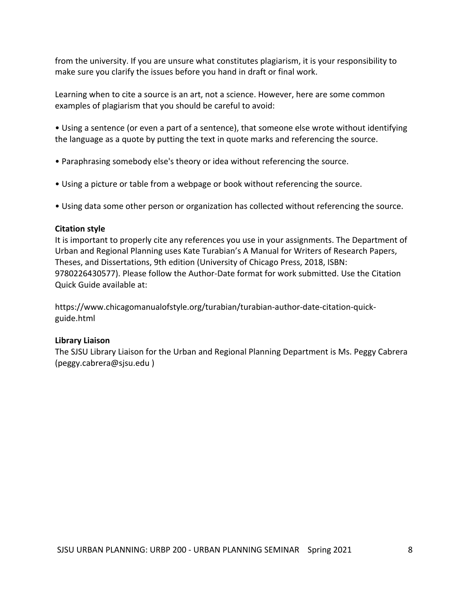from the university. If you are unsure what constitutes plagiarism, it is your responsibility to make sure you clarify the issues before you hand in draft or final work.

Learning when to cite a source is an art, not a science. However, here are some common examples of plagiarism that you should be careful to avoid:

• Using a sentence (or even a part of a sentence), that someone else wrote without identifying the language as a quote by putting the text in quote marks and referencing the source.

- Paraphrasing somebody else's theory or idea without referencing the source.
- Using a picture or table from a webpage or book without referencing the source.
- Using data some other person or organization has collected without referencing the source.

# **Citation style**

It is important to properly cite any references you use in your assignments. The Department of Urban and Regional Planning uses Kate Turabian's A Manual for Writers of Research Papers, Theses, and Dissertations, 9th edition (University of Chicago Press, 2018, ISBN: 9780226430577). Please follow the Author-Date format for work submitted. Use the Citation Quick Guide available at:

https://www.chicagomanualofstyle.org/turabian/turabian-author-date-citation-quickguide.html

# **Library Liaison**

The SJSU Library Liaison for the Urban and Regional Planning Department is Ms. Peggy Cabrera (peggy.cabrera@sjsu.edu )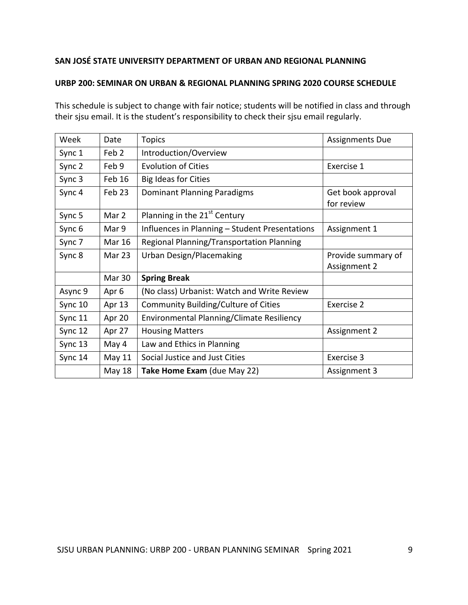# **SAN JOSÉ STATE UNIVERSITY DEPARTMENT OF URBAN AND REGIONAL PLANNING**

# **URBP 200: SEMINAR ON URBAN & REGIONAL PLANNING SPRING 2020 COURSE SCHEDULE**

This schedule is subject to change with fair notice; students will be notified in class and through their sjsu email. It is the student's responsibility to check their sjsu email regularly.

| Week    | Date             | <b>Topics</b>                                  | <b>Assignments Due</b> |
|---------|------------------|------------------------------------------------|------------------------|
| Sync 1  | Feb <sub>2</sub> | Introduction/Overview                          |                        |
| Sync 2  | Feb 9            | <b>Evolution of Cities</b>                     | Exercise 1             |
| Sync 3  | Feb 16           | <b>Big Ideas for Cities</b>                    |                        |
| Sync 4  | Feb 23           | Dominant Planning Paradigms                    | Get book approval      |
|         |                  |                                                | for review             |
| Sync 5  | Mar 2            | Planning in the 21 <sup>st</sup> Century       |                        |
| Sync 6  | Mar 9            | Influences in Planning - Student Presentations | Assignment 1           |
| Sync 7  | <b>Mar 16</b>    | Regional Planning/Transportation Planning      |                        |
| Sync 8  | Mar 23           | <b>Urban Design/Placemaking</b>                | Provide summary of     |
|         |                  |                                                | Assignment 2           |
|         | <b>Mar 30</b>    | <b>Spring Break</b>                            |                        |
| Async 9 | Apr 6            | (No class) Urbanist: Watch and Write Review    |                        |
| Sync 10 | Apr 13           | Community Building/Culture of Cities           | Exercise 2             |
| Sync 11 | Apr 20           | Environmental Planning/Climate Resiliency      |                        |
| Sync 12 | Apr 27           | <b>Housing Matters</b>                         | Assignment 2           |
| Sync 13 | May 4            | Law and Ethics in Planning                     |                        |
| Sync 14 | May 11           | Social Justice and Just Cities                 | Exercise 3             |
|         | May 18           | Take Home Exam (due May 22)                    | Assignment 3           |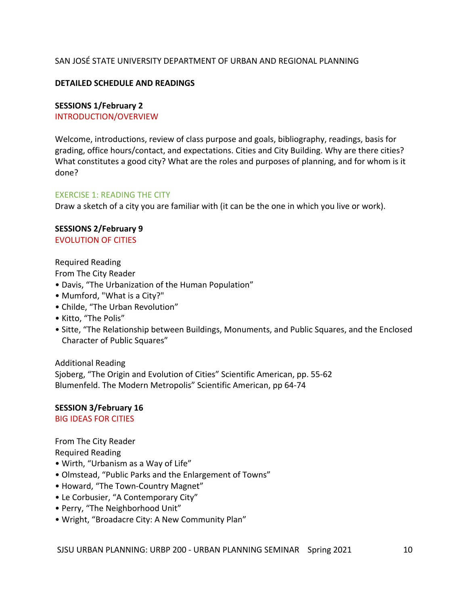# SAN JOSÉ STATE UNIVERSITY DEPARTMENT OF URBAN AND REGIONAL PLANNING

### **DETAILED SCHEDULE AND READINGS**

#### **SESSIONS 1/February 2**

INTRODUCTION/OVERVIEW

Welcome, introductions, review of class purpose and goals, bibliography, readings, basis for grading, office hours/contact, and expectations. Cities and City Building. Why are there cities? What constitutes a good city? What are the roles and purposes of planning, and for whom is it done?

#### **EXERCISE 1: READING THE CITY**

Draw a sketch of a city you are familiar with (it can be the one in which you live or work).

#### **SESSIONS 2/February 9** EVOLUTION OF CITIES

Required Reading

From The City Reader

- Davis, "The Urbanization of the Human Population"
- Mumford, "What is a City?"
- Childe, "The Urban Revolution"
- Kitto, "The Polis"
- Sitte, "The Relationship between Buildings, Monuments, and Public Squares, and the Enclosed Character of Public Squares"

Additional Reading

Sjoberg, "The Origin and Evolution of Cities" Scientific American, pp. 55-62 Blumenfeld. The Modern Metropolis" Scientific American, pp 64-74

**SESSION 3/February 16 BIG IDEAS FOR CITIES** 

From The City Reader

Required Reading

- Wirth, "Urbanism as a Way of Life"
- Olmstead, "Public Parks and the Enlargement of Towns"
- Howard, "The Town-Country Magnet"
- Le Corbusier, "A Contemporary City"
- Perry, "The Neighborhood Unit"
- Wright, "Broadacre City: A New Community Plan"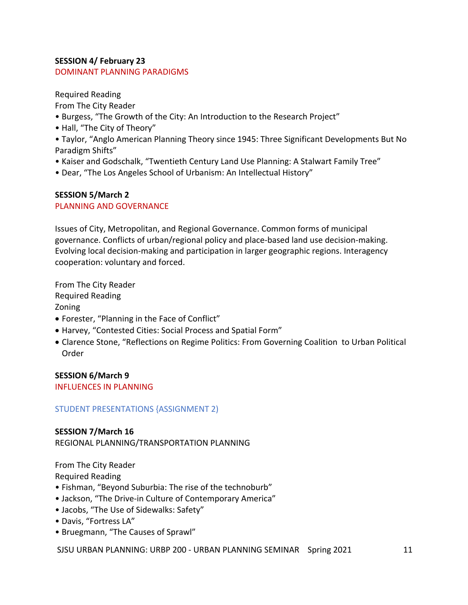# **SESSION 4/ February 23**

# DOMINANT PLANNING PARADIGMS

Required Reading

From The City Reader

- Burgess, "The Growth of the City: An Introduction to the Research Project"
- Hall, "The City of Theory"
- Taylor, "Anglo American Planning Theory since 1945: Three Significant Developments But No Paradigm Shifts"
- Kaiser and Godschalk, "Twentieth Century Land Use Planning: A Stalwart Family Tree"
- Dear, "The Los Angeles School of Urbanism: An Intellectual History"

# **SESSION 5/March 2**

# PLANNING AND GOVERNANCE

Issues of City, Metropolitan, and Regional Governance. Common forms of municipal governance. Conflicts of urban/regional policy and place-based land use decision-making. Evolving local decision-making and participation in larger geographic regions. Interagency cooperation: voluntary and forced.

From The City Reader Required Reading Zoning

- Forester, "Planning in the Face of Conflict"
- Harvey, "Contested Cities: Social Process and Spatial Form"
- Clarence Stone, "Reflections on Regime Politics: From Governing Coalition to Urban Political Order

**SESSION 6/March 9 INFLUENCES IN PLANNING** 

# STUDENT PRESENTATIONS {ASSIGNMENT 2)

# **SESSION 7/March 16**

REGIONAL PLANNING/TRANSPORTATION PLANNING

From The City Reader Required Reading

- Fishman, "Beyond Suburbia: The rise of the technoburb"
- Jackson, "The Drive-in Culture of Contemporary America"
- Jacobs, "The Use of Sidewalks: Safety"
- Davis, "Fortress LA"
- Bruegmann, "The Causes of Sprawl"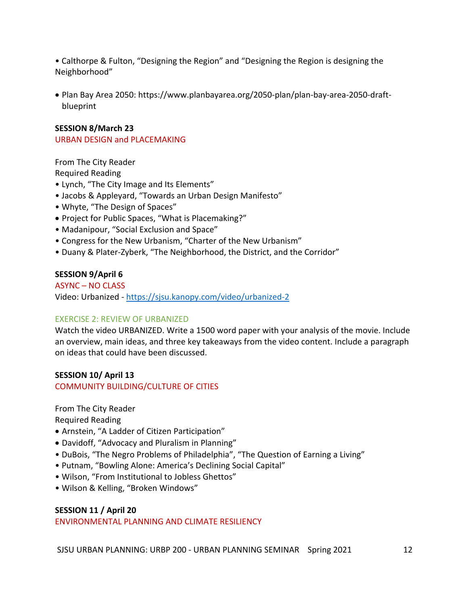• Calthorpe & Fulton, "Designing the Region" and "Designing the Region is designing the Neighborhood"

• Plan Bay Area 2050: https://www.planbayarea.org/2050-plan/plan-bay-area-2050-draftblueprint

### **SESSION 8/March 23**

URBAN DESIGN and PLACEMAKING

From The City Reader Required Reading

- Lynch, "The City Image and Its Elements"
- Jacobs & Appleyard, "Towards an Urban Design Manifesto"
- Whyte, "The Design of Spaces"
- Project for Public Spaces, "What is Placemaking?"
- Madanipour, "Social Exclusion and Space"
- Congress for the New Urbanism, "Charter of the New Urbanism"
- Duany & Plater-Zyberk, "The Neighborhood, the District, and the Corridor"

### **SESSION 9/April 6**

**ASYNC – NO CLASS** Video: Urbanized - https://sjsu.kanopy.com/video/urbanized-2

### **EXERCISE 2: REVIEW OF URBANIZED**

Watch the video URBANIZED. Write a 1500 word paper with your analysis of the movie. Include an overview, main ideas, and three key takeaways from the video content. Include a paragraph on ideas that could have been discussed.

#### **SESSION 10/ April 13** COMMUNITY BUILDING/CULTURE OF CITIES

From The City Reader

Required Reading

- Arnstein, "A Ladder of Citizen Participation"
- Davidoff, "Advocacy and Pluralism in Planning"
- DuBois, "The Negro Problems of Philadelphia", "The Question of Earning a Living"
- Putnam, "Bowling Alone: America's Declining Social Capital"
- Wilson, "From Institutional to Jobless Ghettos"
- Wilson & Kelling, "Broken Windows"

### **SESSION 11 / April 20**

ENVIRONMENTAL PLANNING AND CLIMATE RESILIENCY